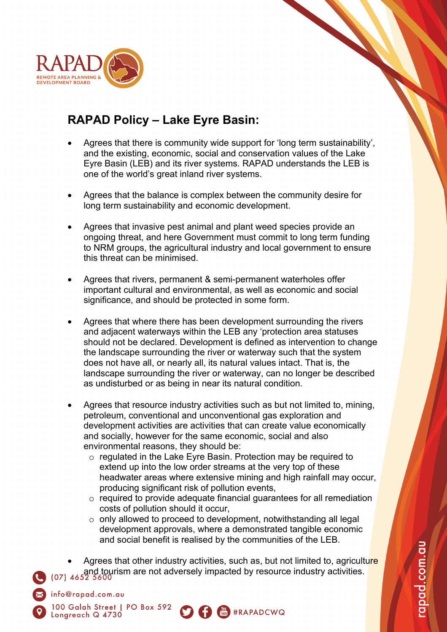

info@rapad.com.au

Longreach Q 4730

100 Galah Street | PO Box 592

## **RAPAD Policy – Lake Eyre Basin:**

- Agrees that there is community wide support for 'long term sustainability', and the existing, economic, social and conservation values of the Lake Eyre Basin (LEB) and its river systems. RAPAD understands the LEB is one of the world's great inland river systems.
- Agrees that the balance is complex between the community desire for long term sustainability and economic development.
- Agrees that invasive pest animal and plant weed species provide an ongoing threat, and here Government must commit to long term funding to NRM groups, the agricultural industry and local government to ensure this threat can be minimised.
- Agrees that rivers, permanent & semi-permanent waterholes offer important cultural and environmental, as well as economic and social significance, and should be protected in some form.
- Agrees that where there has been development surrounding the rivers and adjacent waterways within the LEB any 'protection area statuses should not be declared. Development is defined as intervention to change the landscape surrounding the river or waterway such that the system does not have all, or nearly all, its natural values intact. That is, the landscape surrounding the river or waterway, can no longer be described as undisturbed or as being in near its natural condition.
- Agrees that resource industry activities such as but not limited to, mining, petroleum, conventional and unconventional gas exploration and development activities are activities that can create value economically and socially, however for the same economic, social and also environmental reasons, they should be:
	- o regulated in the Lake Eyre Basin. Protection may be required to extend up into the low order streams at the very top of these headwater areas where extensive mining and high rainfall may occur, producing significant risk of pollution events,
	- o required to provide adequate financial guarantees for all remediation costs of pollution should it occur,
	- o only allowed to proceed to development, notwithstanding all legal development approvals, where a demonstrated tangible economic and social benefit is realised by the communities of the LEB.

Agrees that other industry activities, such as, but not limited to, agriculture and tourism are not adversely impacted by resource industry activities.

S f (M #RAPADCWQ

apad.com.au